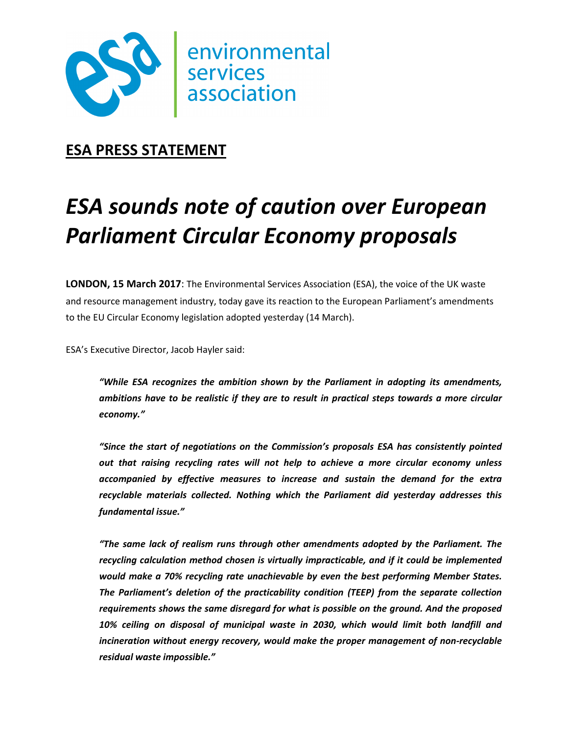

## **ESA PRESS STATEMENT**

# *ESA sounds note of caution over European Parliament Circular Economy proposals*

**LONDON, 15 March 2017**: The Environmental Services Association (ESA), the voice of the UK waste and resource management industry, today gave its reaction to the European Parliament's amendments to the EU Circular Economy legislation adopted yesterday (14 March).

ESA's Executive Director, Jacob Hayler said:

*"While ESA recognizes the ambition shown by the Parliament in adopting its amendments, ambitions have to be realistic if they are to result in practical steps towards a more circular economy."* 

*"Since the start of negotiations on the Commission's proposals ESA has consistently pointed out that raising recycling rates will not help to achieve a more circular economy unless accompanied by effective measures to increase and sustain the demand for the extra recyclable materials collected. Nothing which the Parliament did yesterday addresses this fundamental issue."* 

*"The same lack of realism runs through other amendments adopted by the Parliament. The recycling calculation method chosen is virtually impracticable, and if it could be implemented would make a 70% recycling rate unachievable by even the best performing Member States. The Parliament's deletion of the practicability condition (TEEP) from the separate collection requirements shows the same disregard for what is possible on the ground. And the proposed 10% ceiling on disposal of municipal waste in 2030, which would limit both landfill and incineration without energy recovery, would make the proper management of non-recyclable residual waste impossible."*